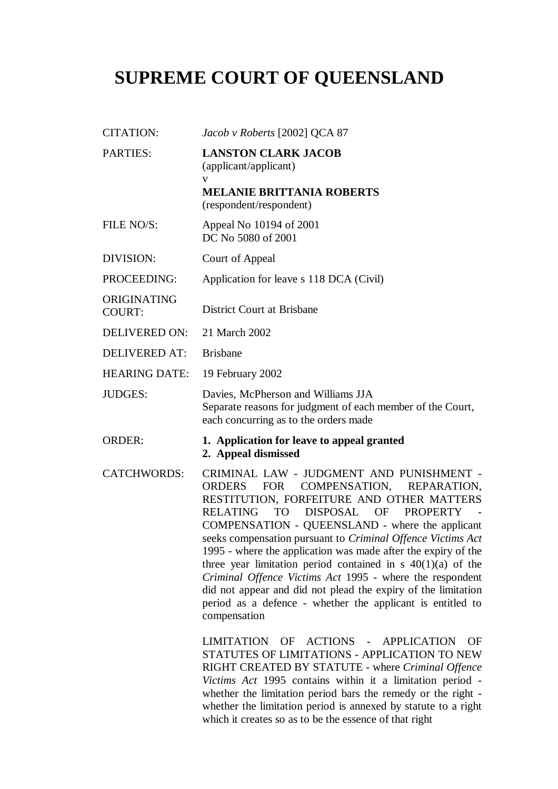## **SUPREME COURT OF QUEENSLAND**

| <b>CITATION:</b>             | Jacob v Roberts [2002] QCA 87                                                                                                                                                                                                                                                                                                                                                                                                                                                                                                                                                                                                                                                                                    |
|------------------------------|------------------------------------------------------------------------------------------------------------------------------------------------------------------------------------------------------------------------------------------------------------------------------------------------------------------------------------------------------------------------------------------------------------------------------------------------------------------------------------------------------------------------------------------------------------------------------------------------------------------------------------------------------------------------------------------------------------------|
| <b>PARTIES:</b>              | <b>LANSTON CLARK JACOB</b><br>(applicant/applicant)                                                                                                                                                                                                                                                                                                                                                                                                                                                                                                                                                                                                                                                              |
|                              | V<br><b>MELANIE BRITTANIA ROBERTS</b><br>(respondent/respondent)                                                                                                                                                                                                                                                                                                                                                                                                                                                                                                                                                                                                                                                 |
| FILE NO/S:                   | Appeal No 10194 of 2001<br>DC No 5080 of 2001                                                                                                                                                                                                                                                                                                                                                                                                                                                                                                                                                                                                                                                                    |
| DIVISION:                    | Court of Appeal                                                                                                                                                                                                                                                                                                                                                                                                                                                                                                                                                                                                                                                                                                  |
| PROCEEDING:                  | Application for leave s 118 DCA (Civil)                                                                                                                                                                                                                                                                                                                                                                                                                                                                                                                                                                                                                                                                          |
| ORIGINATING<br><b>COURT:</b> | <b>District Court at Brisbane</b>                                                                                                                                                                                                                                                                                                                                                                                                                                                                                                                                                                                                                                                                                |
| <b>DELIVERED ON:</b>         | 21 March 2002                                                                                                                                                                                                                                                                                                                                                                                                                                                                                                                                                                                                                                                                                                    |
| <b>DELIVERED AT:</b>         | <b>Brisbane</b>                                                                                                                                                                                                                                                                                                                                                                                                                                                                                                                                                                                                                                                                                                  |
| <b>HEARING DATE:</b>         | 19 February 2002                                                                                                                                                                                                                                                                                                                                                                                                                                                                                                                                                                                                                                                                                                 |
| <b>JUDGES:</b>               | Davies, McPherson and Williams JJA<br>Separate reasons for judgment of each member of the Court,<br>each concurring as to the orders made                                                                                                                                                                                                                                                                                                                                                                                                                                                                                                                                                                        |
| <b>ORDER:</b>                | 1. Application for leave to appeal granted<br>2. Appeal dismissed                                                                                                                                                                                                                                                                                                                                                                                                                                                                                                                                                                                                                                                |
| <b>CATCHWORDS:</b>           | CRIMINAL LAW - JUDGMENT AND PUNISHMENT -<br>ORDERS<br>FOR COMPENSATION, REPARATION,<br>RESTITUTION, FORFEITURE AND OTHER MATTERS<br>DISPOSAL OF<br><b>RELATING</b><br><b>TO</b><br><b>PROPERTY</b><br>COMPENSATION - QUEENSLAND - where the applicant<br>seeks compensation pursuant to Criminal Offence Victims Act<br>1995 - where the application was made after the expiry of the<br>three year limitation period contained in $s \ 40(1)(a)$ of the<br>Criminal Offence Victims Act 1995 - where the respondent<br>did not appear and did not plead the expiry of the limitation<br>period as a defence - whether the applicant is entitled to<br>compensation<br>LIMITATION OF ACTIONS - APPLICATION<br>OF |
|                              | STATUTES OF LIMITATIONS - APPLICATION TO NEW<br>RIGHT CREATED BY STATUTE - where Criminal Offence<br>Victims Act 1995 contains within it a limitation period -<br>whether the limitation period bars the remedy or the right -<br>whether the limitation period is annexed by statute to a right<br>which it creates so as to be the essence of that right                                                                                                                                                                                                                                                                                                                                                       |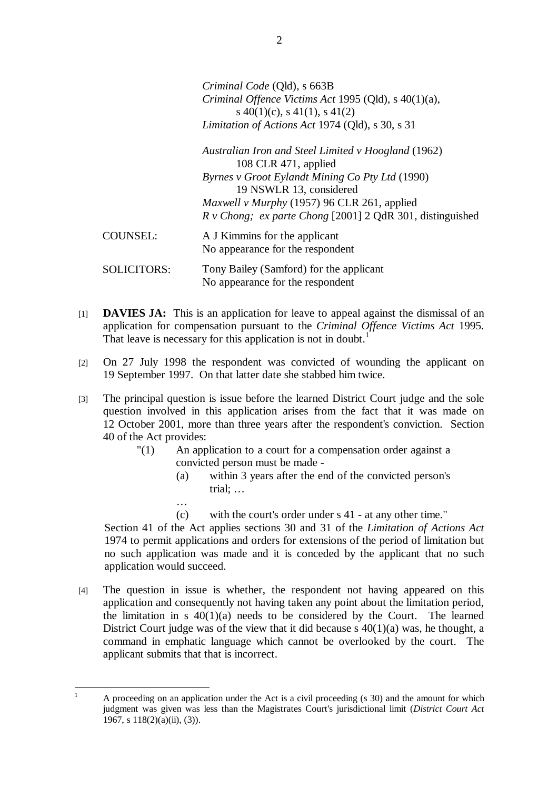*Criminal Code* (Qld), s 663B *Criminal Offence Victims Act* 1995 (Qld), s 40(1)(a), s  $40(1)(c)$ , s  $41(1)$ , s  $41(2)$ *Limitation of Actions Act* 1974 (Qld), s 30, s 31

*Australian Iron and Steel Limited v Hoogland* (1962) 108 CLR 471, applied *Byrnes v Groot Eylandt Mining Co Pty Ltd* (1990) 19 NSWLR 13, considered *Maxwell v Murphy* (1957) 96 CLR 261, applied *R v Chong; ex parte Chong* [2001] 2 QdR 301, distinguished

COUNSEL: A J Kimmins for the applicant No appearance for the respondent

…

SOLICITORS: Tony Bailey (Samford) for the applicant No appearance for the respondent

- [1] **DAVIES JA:** This is an application for leave to appeal against the dismissal of an application for compensation pursuant to the *Criminal Offence Victims Act* 1995. That leave is necessary for this application is not in doubt.<sup>1</sup>
- [2] On 27 July 1998 the respondent was convicted of wounding the applicant on 19 September 1997. On that latter date she stabbed him twice.
- [3] The principal question is issue before the learned District Court judge and the sole question involved in this application arises from the fact that it was made on 12 October 2001, more than three years after the respondent's conviction. Section 40 of the Act provides:
	- "(1) An application to a court for a compensation order against a convicted person must be made -
		- (a) within 3 years after the end of the convicted person's trial; …
		- (c) with the court's order under s 41 at any other time."

Section 41 of the Act applies sections 30 and 31 of the *Limitation of Actions Act* 1974 to permit applications and orders for extensions of the period of limitation but no such application was made and it is conceded by the applicant that no such application would succeed.

[4] The question in issue is whether, the respondent not having appeared on this application and consequently not having taken any point about the limitation period, the limitation in s  $40(1)(a)$  needs to be considered by the Court. The learned District Court judge was of the view that it did because s 40(1)(a) was, he thought, a command in emphatic language which cannot be overlooked by the court. The applicant submits that that is incorrect.

 $\mathbf{1}$ <sup>1</sup> A proceeding on an application under the Act is a civil proceeding (s 30) and the amount for which judgment was given was less than the Magistrates Court's jurisdictional limit (*District Court Act* 1967, s  $118(2)(a)(ii)$ , (3)).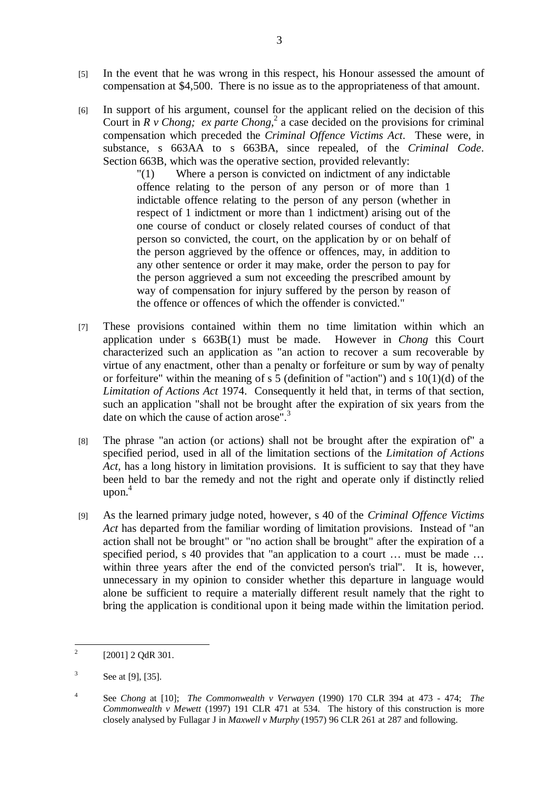- [5] In the event that he was wrong in this respect, his Honour assessed the amount of compensation at \$4,500. There is no issue as to the appropriateness of that amount.
- [6] In support of his argument, counsel for the applicant relied on the decision of this Court in  $R$  v Chong; ex parte Chong,<sup>2</sup> a case decided on the provisions for criminal compensation which preceded the *Criminal Offence Victims Act*. These were, in substance, s 663AA to s 663BA, since repealed, of the *Criminal Code*. Section 663B, which was the operative section, provided relevantly:

"(1) Where a person is convicted on indictment of any indictable offence relating to the person of any person or of more than 1 indictable offence relating to the person of any person (whether in respect of 1 indictment or more than 1 indictment) arising out of the one course of conduct or closely related courses of conduct of that person so convicted, the court, on the application by or on behalf of the person aggrieved by the offence or offences, may, in addition to any other sentence or order it may make, order the person to pay for the person aggrieved a sum not exceeding the prescribed amount by way of compensation for injury suffered by the person by reason of the offence or offences of which the offender is convicted."

- [7] These provisions contained within them no time limitation within which an application under s 663B(1) must be made. However in *Chong* this Court characterized such an application as "an action to recover a sum recoverable by virtue of any enactment, other than a penalty or forfeiture or sum by way of penalty or forfeiture" within the meaning of s  $\frac{1}{5}$  (definition of "action") and s 10(1)(d) of the *Limitation of Actions Act* 1974. Consequently it held that, in terms of that section, such an application "shall not be brought after the expiration of six years from the date on which the cause of action arose".<sup>3</sup>
- [8] The phrase "an action (or actions) shall not be brought after the expiration of" a specified period, used in all of the limitation sections of the *Limitation of Actions Act*, has a long history in limitation provisions. It is sufficient to say that they have been held to bar the remedy and not the right and operate only if distinctly relied upon. 4
- [9] As the learned primary judge noted, however, s 40 of the *Criminal Offence Victims Act* has departed from the familiar wording of limitation provisions. Instead of "an action shall not be brought" or "no action shall be brought" after the expiration of a specified period, s 40 provides that "an application to a court ... must be made ... within three years after the end of the convicted person's trial". It is, however, unnecessary in my opinion to consider whether this departure in language would alone be sufficient to require a materially different result namely that the right to bring the application is conditional upon it being made within the limitation period.

 $\frac{1}{2}$ [2001] 2 OdR 301.

<sup>3</sup> See at [9], [35].

<sup>4</sup> See *Chong* at [10]; *The Commonwealth v Verwayen* (1990) 170 CLR 394 at 473 - 474; *The Commonwealth v Mewett* (1997) 191 CLR 471 at 534. The history of this construction is more closely analysed by Fullagar J in *Maxwell v Murphy* (1957) 96 CLR 261 at 287 and following.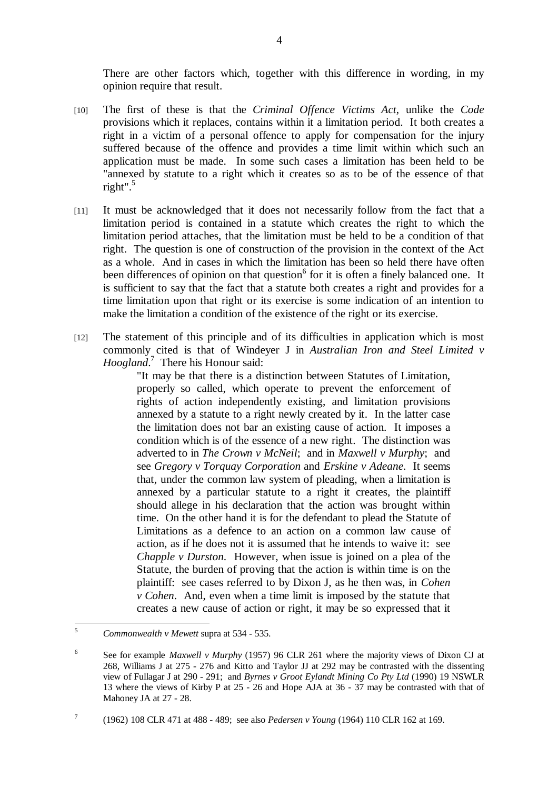There are other factors which, together with this difference in wording, in my opinion require that result.

- [10] The first of these is that the *Criminal Offence Victims Act*, unlike the *Code* provisions which it replaces, contains within it a limitation period. It both creates a right in a victim of a personal offence to apply for compensation for the injury suffered because of the offence and provides a time limit within which such an application must be made. In some such cases a limitation has been held to be "annexed by statute to a right which it creates so as to be of the essence of that right". $5$
- [11] It must be acknowledged that it does not necessarily follow from the fact that a limitation period is contained in a statute which creates the right to which the limitation period attaches, that the limitation must be held to be a condition of that right. The question is one of construction of the provision in the context of the Act as a whole. And in cases in which the limitation has been so held there have often been differences of opinion on that question<sup>6</sup> for it is often a finely balanced one. It is sufficient to say that the fact that a statute both creates a right and provides for a time limitation upon that right or its exercise is some indication of an intention to make the limitation a condition of the existence of the right or its exercise.
- [12] The statement of this principle and of its difficulties in application which is most commonly cited is that of Windeyer J in *Australian Iron and Steel Limited v Hoogland*. 7 There his Honour said:

"It may be that there is a distinction between Statutes of Limitation, properly so called, which operate to prevent the enforcement of rights of action independently existing, and limitation provisions annexed by a statute to a right newly created by it. In the latter case the limitation does not bar an existing cause of action. It imposes a condition which is of the essence of a new right. The distinction was adverted to in *The Crown v McNeil*; and in *Maxwell v Murphy*; and see *Gregory v Torquay Corporation* and *Erskine v Adeane*. It seems that, under the common law system of pleading, when a limitation is annexed by a particular statute to a right it creates, the plaintiff should allege in his declaration that the action was brought within time. On the other hand it is for the defendant to plead the Statute of Limitations as a defence to an action on a common law cause of action, as if he does not it is assumed that he intends to waive it: see *Chapple v Durston*. However, when issue is joined on a plea of the Statute, the burden of proving that the action is within time is on the plaintiff: see cases referred to by Dixon J, as he then was, in *Cohen v Cohen*. And, even when a time limit is imposed by the statute that creates a new cause of action or right, it may be so expressed that it

(1962) 108 CLR 471 at 488 - 489; see also *Pedersen v Young* (1964) 110 CLR 162 at 169.

 $\overline{\mathbf{S}}$ <sup>5</sup> *Commonwealth v Mewett* supra at 534 - 535.

<sup>6</sup> See for example *Maxwell v Murphy* (1957) 96 CLR 261 where the majority views of Dixon CJ at 268, Williams J at 275 - 276 and Kitto and Taylor JJ at 292 may be contrasted with the dissenting view of Fullagar J at 290 - 291; and *Byrnes v Groot Eylandt Mining Co Pty Ltd* (1990) 19 NSWLR 13 where the views of Kirby P at 25 - 26 and Hope AJA at 36 - 37 may be contrasted with that of Mahoney JA at 27 - 28.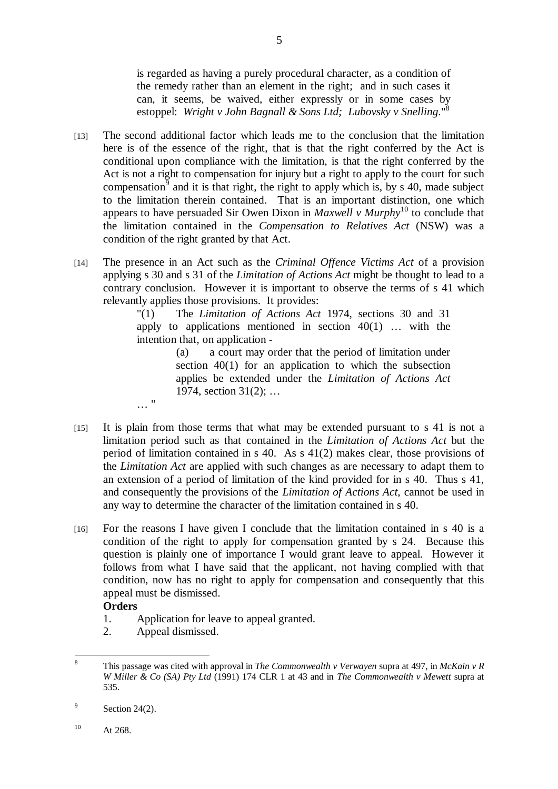is regarded as having a purely procedural character, as a condition of the remedy rather than an element in the right; and in such cases it can, it seems, be waived, either expressly or in some cases by estoppel: *Wright v John Bagnall & Sons Ltd; Lubovsky v Snelling*."<sup>8</sup>

- [13] The second additional factor which leads me to the conclusion that the limitation here is of the essence of the right, that is that the right conferred by the Act is conditional upon compliance with the limitation, is that the right conferred by the Act is not a right to compensation for injury but a right to apply to the court for such compensation<sup>9</sup> and it is that right, the right to apply which is, by s 40, made subject to the limitation therein contained. That is an important distinction, one which appears to have persuaded Sir Owen Dixon in *Maxwell v Murphy*<sup>10</sup> to conclude that the limitation contained in the *Compensation to Relatives Act* (NSW) was a condition of the right granted by that Act.
- [14] The presence in an Act such as the *Criminal Offence Victims Act* of a provision applying s 30 and s 31 of the *Limitation of Actions Act* might be thought to lead to a contrary conclusion. However it is important to observe the terms of s 41 which relevantly applies those provisions. It provides:

"(1) The *Limitation of Actions Act* 1974, sections 30 and 31 apply to applications mentioned in section  $40(1)$  ... with the intention that, on application -

> (a) a court may order that the period of limitation under section 40(1) for an application to which the subsection applies be extended under the *Limitation of Actions Act* 1974, section 31(2); …

- [15] It is plain from those terms that what may be extended pursuant to s 41 is not a limitation period such as that contained in the *Limitation of Actions Act* but the period of limitation contained in s 40. As s 41(2) makes clear, those provisions of the *Limitation Act* are applied with such changes as are necessary to adapt them to an extension of a period of limitation of the kind provided for in s 40. Thus s 41, and consequently the provisions of the *Limitation of Actions Act*, cannot be used in any way to determine the character of the limitation contained in s 40.
- [16] For the reasons I have given I conclude that the limitation contained in s 40 is a condition of the right to apply for compensation granted by s 24. Because this question is plainly one of importance I would grant leave to appeal. However it follows from what I have said that the applicant, not having complied with that condition, now has no right to apply for compensation and consequently that this appeal must be dismissed.

## **Orders**

- 1. Application for leave to appeal granted.
- 2. Appeal dismissed.

… "

 $\overline{8}$ <sup>8</sup> This passage was cited with approval in *The Commonwealth v Verwayen* supra at 497, in *McKain v R W Miller & Co (SA) Pty Ltd* (1991) 174 CLR 1 at 43 and in *The Commonwealth v Mewett* supra at 535.

<sup>9</sup> Section 24(2).

 $10$  At 268.